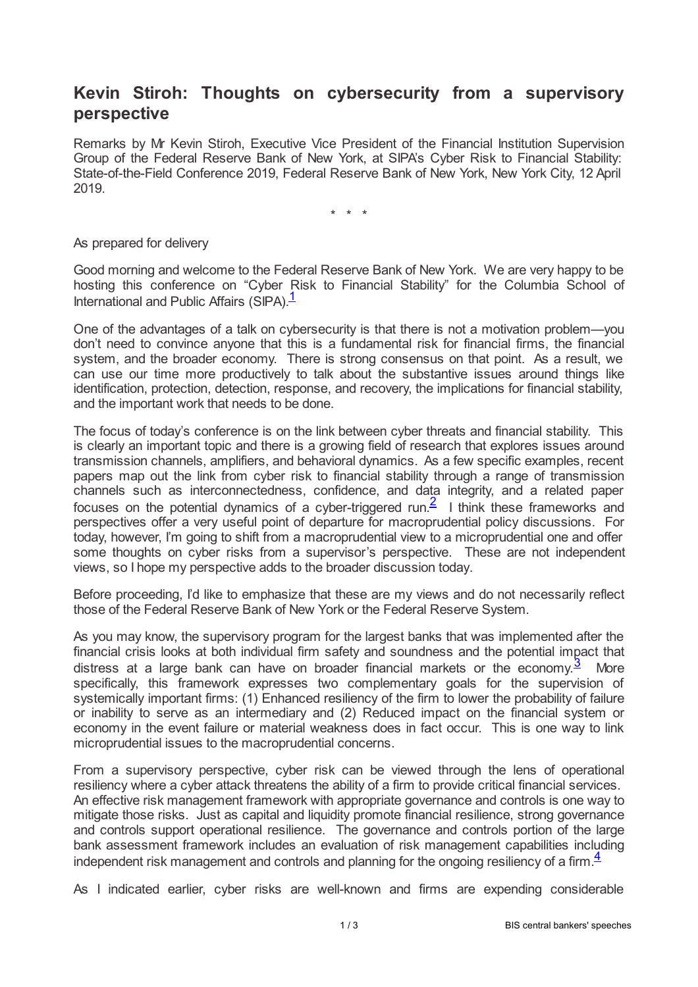## **Kevin Stiroh: Thoughts on cybersecurity from a supervisory perspective**

Remarks by Mr Kevin Stiroh, Executive Vice President of the Financial Institution Supervision Group of the Federal Reserve Bank of New York, at SIPA's Cyber Risk to Financial Stability: State-of-the-Field Conference 2019, Federal Reserve Bank of New York, New York City, 12 April 2019.

<span id="page-0-1"></span><span id="page-0-0"></span>\* \* \*

As prepared for delivery

Good morning and welcome to the Federal Reserve Bank of New York. We are very happy to be hosting this conference on "Cyber Risk to Financial Stability" for the Columbia School of International and Public Affairs  $(SIPA)$ <sup>[1](#page-2-0)</sup>

One of the advantages of a talk on cybersecurity is that there is not a motivation problem—you don't need to convince anyone that this is a fundamental risk for financial firms, the financial system, and the broader economy. There is strong consensus on that point. As a result, we can use our time more productively to talk about the substantive issues around things like identification, protection, detection, response, and recovery, the implications for financial stability, and the important work that needs to be done.

The focus of today's conference is on the link between cyber threats and financial stability. This is clearly an important topic and there is a growing field of research that explores issues around transmission channels, amplifiers, and behavioral dynamics. As a few specific examples, recent papers map out the link from cyber risk to financial stability through a range of transmission channels such as interconnectedness, confidence, and data integrity, and a related paper focuses on the potential dynamics of a cyber-triggered run.<sup>[2](#page-2-1)</sup> I think these frameworks and perspectives offer a very useful point of departure for macroprudential policy discussions. For today, however, I'm going to shift from a macroprudential view to a microprudential one and offer some thoughts on cyber risks from a supervisor's perspective. These are not independent views, so I hope my perspective adds to the broader discussion today.

Before proceeding, I'd like to emphasize that these are my views and do not necessarily reflect those of the Federal Reserve Bank of New York or the Federal Reserve System.

<span id="page-0-2"></span>As you may know, the supervisory program for the largest banks that was implemented after the financial crisis looks at both individual firm safety and soundness and the potential impact that distress at a large bank can have on broader financial markets or the economy. $\frac{3}{2}$  $\frac{3}{2}$  $\frac{3}{2}$  More specifically, this framework expresses two complementary goals for the supervision of systemically important firms: (1) Enhanced resiliency of the firm to lower the probability of failure or inability to serve as an intermediary and (2) Reduced impact on the financial system or economy in the event failure or material weakness does in fact occur. This is one way to link microprudential issues to the macroprudential concerns.

From a supervisory perspective, cyber risk can be viewed through the lens of operational resiliency where a cyber attack threatens the ability of a firm to provide critical financial services. An effective risk management framework with appropriate governance and controls is one way to mitigate those risks. Just as capital and liquidity promote financial resilience, strong governance and controls support operational resilience. The governance and controls portion of the large bank assessment framework includes an evaluation of risk management capabilities including independent risk management and controls and planning for the ongoing resiliency of a firm. $\frac{4}{3}$  $\frac{4}{3}$  $\frac{4}{3}$ 

<span id="page-0-3"></span>As I indicated earlier, cyber risks are well-known and firms are expending considerable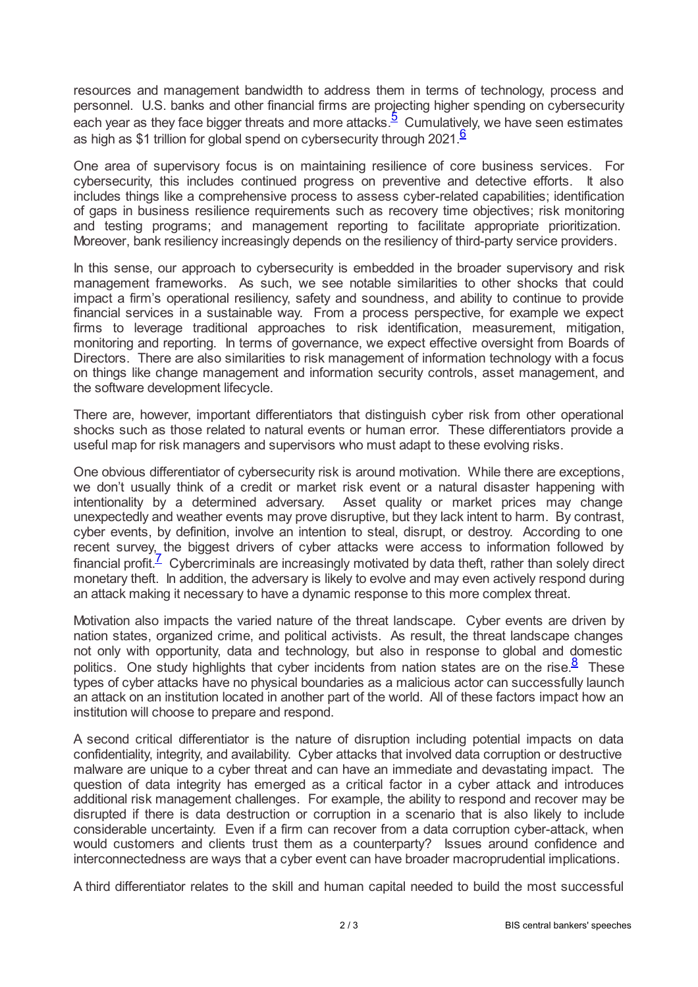<span id="page-1-0"></span>resources and management bandwidth to address them in terms of technology, process and personnel. U.S. banks and other financial firms are projecting higher spending on cybersecurity each year as they face bigger threats and more attacks.<sup>[5](#page-2-4)</sup> Cumulatively, we have seen estimates as high as \$1 trillion for global spend on cybersecurity through 2021. $6$ 

<span id="page-1-1"></span>One area of supervisory focus is on maintaining resilience of core business services. For cybersecurity, this includes continued progress on preventive and detective efforts. It also includes things like a comprehensive process to assess cyber-related capabilities; identification of gaps in business resilience requirements such as recovery time objectives; risk monitoring and testing programs; and management reporting to facilitate appropriate prioritization. Moreover, bank resiliency increasingly depends on the resiliency of third-party service providers.

In this sense, our approach to cybersecurity is embedded in the broader supervisory and risk management frameworks. As such, we see notable similarities to other shocks that could impact a firm's operational resiliency, safety and soundness, and ability to continue to provide financial services in a sustainable way. From a process perspective, for example we expect firms to leverage traditional approaches to risk identification, measurement, mitigation, monitoring and reporting. In terms of governance, we expect effective oversight from Boards of Directors. There are also similarities to risk management of information technology with a focus on things like change management and information security controls, asset management, and the software development lifecycle.

There are, however, important differentiators that distinguish cyber risk from other operational shocks such as those related to natural events or human error. These differentiators provide a useful map for risk managers and supervisors who must adapt to these evolving risks.

One obvious differentiator of cybersecurity risk is around motivation. While there are exceptions, we don't usually think of a credit or market risk event or a natural disaster happening with intentionality by a determined adversary. Asset quality or market prices may change unexpectedly and weather events may prove disruptive, but they lack intent to harm. By contrast, cyber events, by definition, involve an intention to steal, disrupt, or destroy. According to one recent survey, the biggest drivers of cyber attacks were access to information followed by financial profit. $\frac{7}{2}$  $\frac{7}{2}$  $\frac{7}{2}$  Cybercriminals are increasingly motivated by data theft, rather than solely direct monetary theft. In addition, the adversary is likely to evolve and may even actively respond during an attack making it necessary to have a dynamic response to this more complex threat.

<span id="page-1-3"></span><span id="page-1-2"></span>Motivation also impacts the varied nature of the threat landscape. Cyber events are driven by nation states, organized crime, and political activists. As result, the threat landscape changes not only with opportunity, data and technology, but also in response to global and domestic politics. One study highlights that cyber incidents from nation states are on the rise.<sup>[8](#page-2-7)</sup> These types of cyber attacks have no physical boundaries as a malicious actor can successfully launch an attack on an institution located in another part of the world. All of these factors impact how an institution will choose to prepare and respond.

A second critical differentiator is the nature of disruption including potential impacts on data confidentiality, integrity, and availability. Cyber attacks that involved data corruption or destructive malware are unique to a cyber threat and can have an immediate and devastating impact. The question of data integrity has emerged as a critical factor in a cyber attack and introduces additional risk management challenges. For example, the ability to respond and recover may be disrupted if there is data destruction or corruption in a scenario that is also likely to include considerable uncertainty. Even if a firm can recover from a data corruption cyber-attack, when would customers and clients trust them as a counterparty? Issues around confidence and interconnectedness are ways that a cyber event can have broader macroprudential implications.

A third differentiator relates to the skill and human capital needed to build the most successful